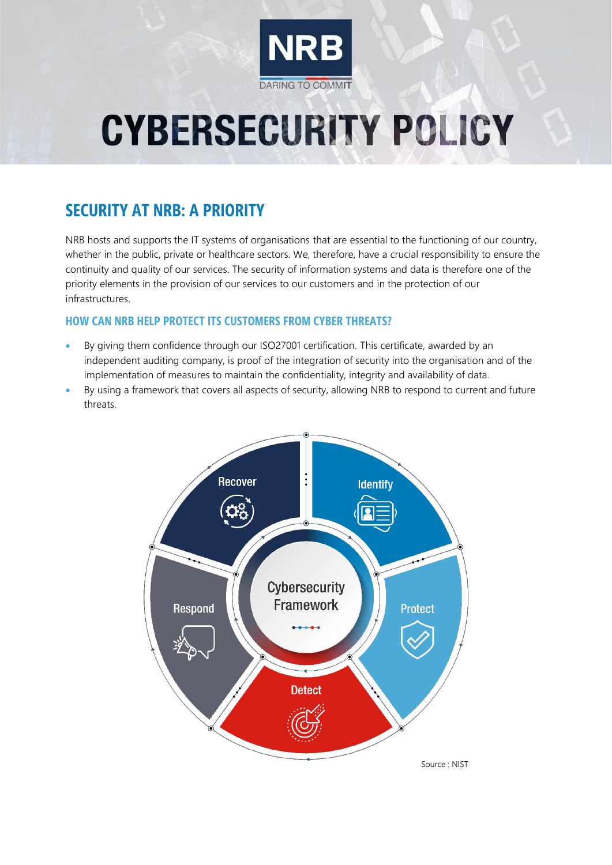

# **CYBERSECURITY POLICY**

## **SECURITY AT NRB: A PRIORITY**

NRB hosts and supports the IT systems of organisations that are essential to the functioning of our country, whether in the public, private or healthcare sectors. We, therefore, have a crucial responsibility to ensure the continuity and quality of our services. The security of information systems and data is therefore one of the priority elements in the provision of our services to our customers and in the protection of our infrastructures.

#### **HOW CAN NRB HELP PROTECT ITS CUSTOMERS FROM CYBER THREATS?**

- By giving them confidence through our ISO27001 certification. This certificate, awarded by an independent auditing company, is proof of the integration of security into the organisation and of the implementation of measures to maintain the confidentiality, integrity and availability of data.
- By using a framework that covers all aspects of security, allowing NRB to respond to current and future threats.

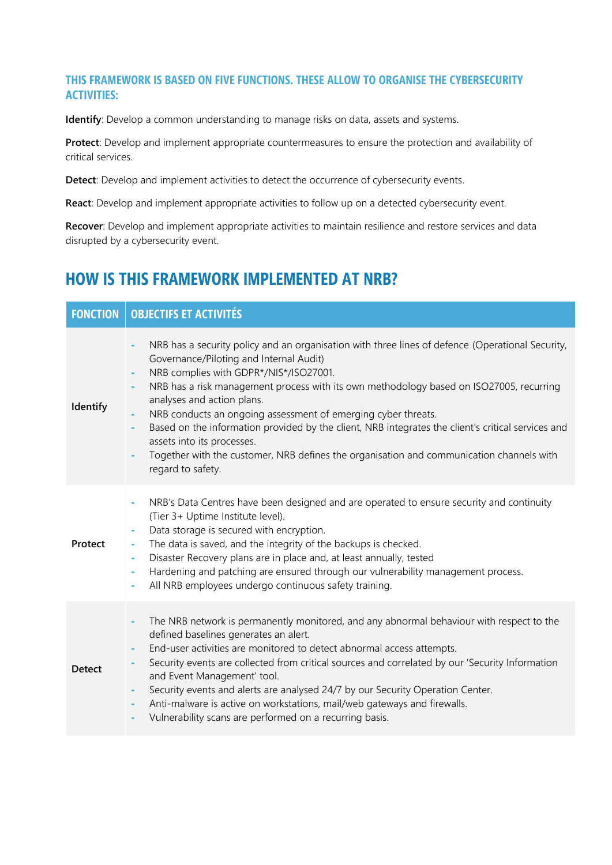#### **THIS FRAMEWORK IS BASED ON FIVE FUNCTIONS. THESE ALLOW TO ORGANISE THE CYBERSECURITY ACTIVITIES:**

**Identify**: Develop a common understanding to manage risks on data, assets and systems.

**Protect**: Develop and implement appropriate countermeasures to ensure the protection and availability of critical services.

**Detect**: Develop and implement activities to detect the occurrence of cybersecurity events.

**React**: Develop and implement appropriate activities to follow up on a detected cybersecurity event.

**Recover**: Develop and implement appropriate activities to maintain resilience and restore services and data disrupted by a cybersecurity event.

### **HOW IS THIS FRAMEWORK IMPLEMENTED AT NRB?**

| <b>FONCTION</b> | <b>OBJECTIFS ET ACTIVITÉS</b>                                                                                                                                                                                                                                                                                                                                                                                                                                                                                                                                                                                                                              |
|-----------------|------------------------------------------------------------------------------------------------------------------------------------------------------------------------------------------------------------------------------------------------------------------------------------------------------------------------------------------------------------------------------------------------------------------------------------------------------------------------------------------------------------------------------------------------------------------------------------------------------------------------------------------------------------|
| Identify        | NRB has a security policy and an organisation with three lines of defence (Operational Security,<br>٠<br>Governance/Piloting and Internal Audit)<br>NRB complies with GDPR*/NIS*/ISO27001.<br>÷<br>NRB has a risk management process with its own methodology based on ISO27005, recurring<br>ä,<br>analyses and action plans.<br>NRB conducts an ongoing assessment of emerging cyber threats.<br>Based on the information provided by the client, NRB integrates the client's critical services and<br>ä,<br>assets into its processes.<br>Together with the customer, NRB defines the organisation and communication channels with<br>regard to safety. |
| Protect         | NRB's Data Centres have been designed and are operated to ensure security and continuity<br>÷,<br>(Tier 3+ Uptime Institute level).<br>Data storage is secured with encryption.<br>The data is saved, and the integrity of the backups is checked.<br>۰<br>Disaster Recovery plans are in place and, at least annually, tested<br>۰<br>Hardening and patching are ensured through our vulnerability management process.<br>۰<br>All NRB employees undergo continuous safety training.<br>۰                                                                                                                                                                 |
| <b>Detect</b>   | The NRB network is permanently monitored, and any abnormal behaviour with respect to the<br>ä,<br>defined baselines generates an alert.<br>End-user activities are monitored to detect abnormal access attempts.<br>٠<br>Security events are collected from critical sources and correlated by our 'Security Information<br>and Event Management' tool.<br>Security events and alerts are analysed 24/7 by our Security Operation Center.<br>۰<br>Anti-malware is active on workstations, mail/web gateways and firewalls.<br>۰<br>Vulnerability scans are performed on a recurring basis.                                                                 |